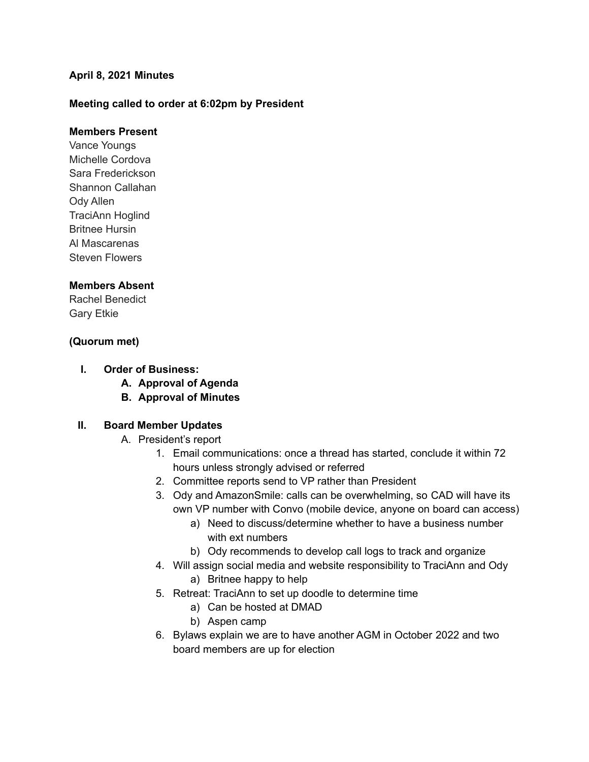#### **April 8, 2021 Minutes**

### **Meeting called to order at 6:02pm by President**

#### **Members Present**

Vance Youngs Michelle Cordova Sara Frederickson Shannon Callahan Ody Allen TraciAnn Hoglind Britnee Hursin Al Mascarenas Steven Flowers

#### **Members Absent**

Rachel Benedict Gary Etkie

#### **(Quorum met)**

- **I. Order of Business:**
	- **A. Approval of Agenda**
	- **B. Approval of Minutes**

#### **II. Board Member Updates**

- A. President's report
	- 1. Email communications: once a thread has started, conclude it within 72 hours unless strongly advised or referred
	- 2. Committee reports send to VP rather than President
	- 3. Ody and AmazonSmile: calls can be overwhelming, so CAD will have its own VP number with Convo (mobile device, anyone on board can access)
		- a) Need to discuss/determine whether to have a business number with ext numbers
		- b) Ody recommends to develop call logs to track and organize
	- 4. Will assign social media and website responsibility to TraciAnn and Ody
		- a) Britnee happy to help
	- 5. Retreat: TraciAnn to set up doodle to determine time
		- a) Can be hosted at DMAD
		- b) Aspen camp
	- 6. Bylaws explain we are to have another AGM in October 2022 and two board members are up for election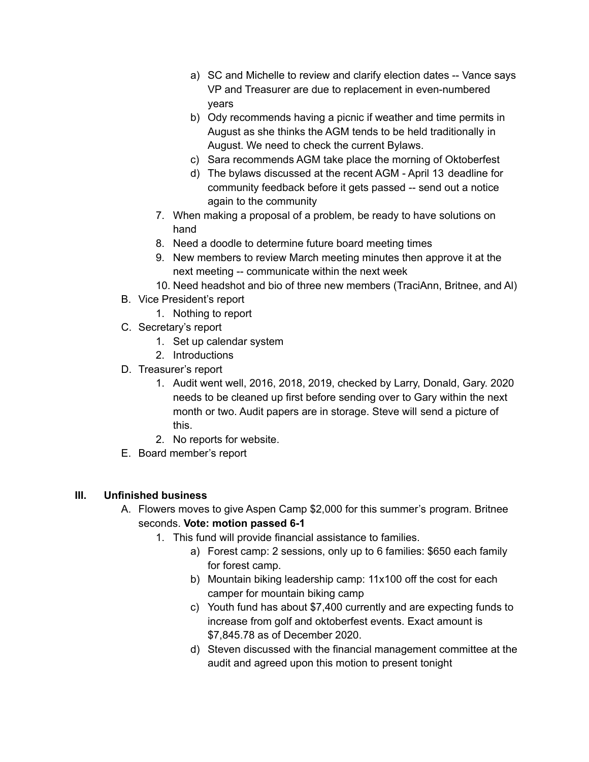- a) SC and Michelle to review and clarify election dates -- Vance says VP and Treasurer are due to replacement in even-numbered years
- b) Ody recommends having a picnic if weather and time permits in August as she thinks the AGM tends to be held traditionally in August. We need to check the current Bylaws.
- c) Sara recommends AGM take place the morning of Oktoberfest
- d) The bylaws discussed at the recent AGM April 13 deadline for community feedback before it gets passed -- send out a notice again to the community
- 7. When making a proposal of a problem, be ready to have solutions on hand
- 8. Need a doodle to determine future board meeting times
- 9. New members to review March meeting minutes then approve it at the next meeting -- communicate within the next week
- 10. Need headshot and bio of three new members (TraciAnn, Britnee, and Al)
- B. Vice President's report
	- 1. Nothing to report
- C. Secretary's report
	- 1. Set up calendar system
	- 2. Introductions
- D. Treasurer's report
	- 1. Audit went well, 2016, 2018, 2019, checked by Larry, Donald, Gary. 2020 needs to be cleaned up first before sending over to Gary within the next month or two. Audit papers are in storage. Steve will send a picture of this.
	- 2. No reports for website.
- E. Board member's report

#### **III. Unfinished business**

- A. Flowers moves to give Aspen Camp \$2,000 for this summer's program. Britnee seconds. **Vote: motion passed 6-1**
	- 1. This fund will provide financial assistance to families.
		- a) Forest camp: 2 sessions, only up to 6 families: \$650 each family for forest camp.
		- b) Mountain biking leadership camp: 11x100 off the cost for each camper for mountain biking camp
		- c) Youth fund has about \$7,400 currently and are expecting funds to increase from golf and oktoberfest events. Exact amount is \$7,845.78 as of December 2020.
		- d) Steven discussed with the financial management committee at the audit and agreed upon this motion to present tonight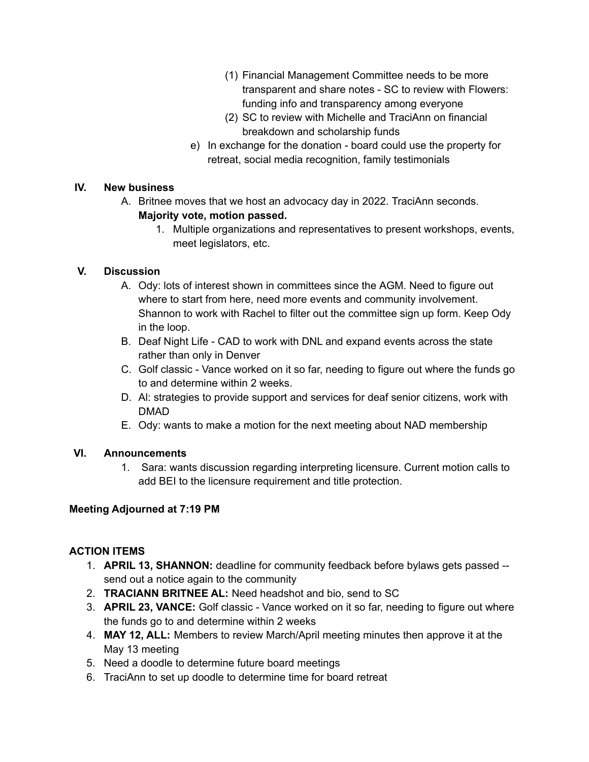- (1) Financial Management Committee needs to be more transparent and share notes - SC to review with Flowers: funding info and transparency among everyone
- (2) SC to review with Michelle and TraciAnn on financial breakdown and scholarship funds
- e) In exchange for the donation board could use the property for retreat, social media recognition, family testimonials

### **IV. New business**

- A. Britnee moves that we host an advocacy day in 2022. TraciAnn seconds. **Majority vote, motion passed.**
	- 1. Multiple organizations and representatives to present workshops, events, meet legislators, etc.

### **V. Discussion**

- A. Ody: lots of interest shown in committees since the AGM. Need to figure out where to start from here, need more events and community involvement. Shannon to work with Rachel to filter out the committee sign up form. Keep Ody in the loop.
- B. Deaf Night Life CAD to work with DNL and expand events across the state rather than only in Denver
- C. Golf classic Vance worked on it so far, needing to figure out where the funds go to and determine within 2 weeks.
- D. Al: strategies to provide support and services for deaf senior citizens, work with DMAD
- E. Ody: wants to make a motion for the next meeting about NAD membership

# **VI. Announcements**

1. Sara: wants discussion regarding interpreting licensure. Current motion calls to add BEI to the licensure requirement and title protection.

# **Meeting Adjourned at 7:19 PM**

# **ACTION ITEMS**

- 1. **APRIL 13, SHANNON:** deadline for community feedback before bylaws gets passed send out a notice again to the community
- 2. **TRACIANN BRITNEE AL:** Need headshot and bio, send to SC
- 3. **APRIL 23, VANCE:** Golf classic Vance worked on it so far, needing to figure out where the funds go to and determine within 2 weeks
- 4. **MAY 12, ALL:** Members to review March/April meeting minutes then approve it at the May 13 meeting
- 5. Need a doodle to determine future board meetings
- 6. TraciAnn to set up doodle to determine time for board retreat